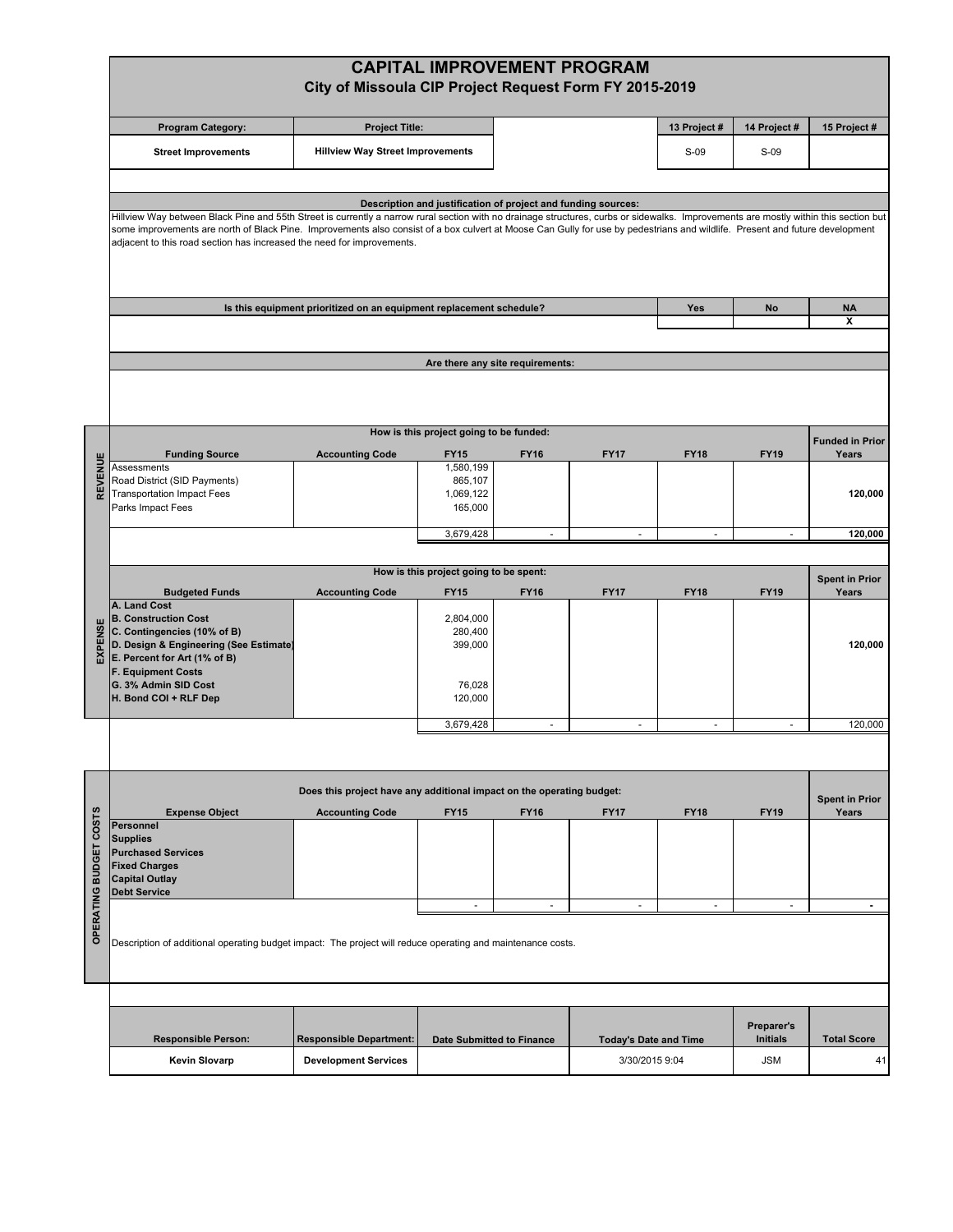|                  |                                                                                                                                                                                                                                                                                                                                                                                                                                                | City of Missoula CIP Project Request Form FY 2015-2019                |                                         |                                                               | <b>CAPITAL IMPROVEMENT PROGRAM</b> |              |                               |                                |
|------------------|------------------------------------------------------------------------------------------------------------------------------------------------------------------------------------------------------------------------------------------------------------------------------------------------------------------------------------------------------------------------------------------------------------------------------------------------|-----------------------------------------------------------------------|-----------------------------------------|---------------------------------------------------------------|------------------------------------|--------------|-------------------------------|--------------------------------|
|                  | <b>Program Category:</b>                                                                                                                                                                                                                                                                                                                                                                                                                       | <b>Project Title:</b>                                                 |                                         |                                                               |                                    | 13 Project # | 14 Project #                  | 15 Project #                   |
|                  | <b>Street Improvements</b>                                                                                                                                                                                                                                                                                                                                                                                                                     | <b>Hillview Way Street Improvements</b>                               |                                         |                                                               |                                    | $S-09$       | $S-09$                        |                                |
|                  |                                                                                                                                                                                                                                                                                                                                                                                                                                                |                                                                       |                                         |                                                               |                                    |              |                               |                                |
|                  | Hillview Way between Black Pine and 55th Street is currently a narrow rural section with no drainage structures, curbs or sidewalks. Improvements are mostly within this section but<br>some improvements are north of Black Pine. Improvements also consist of a box culvert at Moose Can Gully for use by pedestrians and wildlife. Present and future development<br>adjacent to this road section has increased the need for improvements. |                                                                       |                                         | Description and justification of project and funding sources: |                                    |              |                               |                                |
|                  |                                                                                                                                                                                                                                                                                                                                                                                                                                                | Is this equipment prioritized on an equipment replacement schedule?   |                                         |                                                               |                                    | Yes          | <b>No</b>                     | <b>NA</b><br>x                 |
|                  |                                                                                                                                                                                                                                                                                                                                                                                                                                                |                                                                       |                                         |                                                               |                                    |              |                               |                                |
|                  |                                                                                                                                                                                                                                                                                                                                                                                                                                                |                                                                       |                                         |                                                               |                                    |              |                               |                                |
|                  |                                                                                                                                                                                                                                                                                                                                                                                                                                                |                                                                       |                                         | Are there any site requirements:                              |                                    |              |                               |                                |
|                  |                                                                                                                                                                                                                                                                                                                                                                                                                                                |                                                                       | How is this project going to be funded: |                                                               |                                    |              |                               |                                |
|                  |                                                                                                                                                                                                                                                                                                                                                                                                                                                |                                                                       |                                         |                                                               |                                    |              |                               | <b>Funded in Prior</b>         |
| REVENUE          | <b>Funding Source</b><br>Assessments                                                                                                                                                                                                                                                                                                                                                                                                           | <b>Accounting Code</b>                                                | <b>FY15</b><br>1,580,199                | <b>FY16</b>                                                   | <b>FY17</b>                        | <b>FY18</b>  | <b>FY19</b>                   | Years                          |
|                  | Road District (SID Payments)                                                                                                                                                                                                                                                                                                                                                                                                                   |                                                                       | 865,107                                 |                                                               |                                    |              |                               |                                |
|                  | <b>Transportation Impact Fees</b><br>Parks Impact Fees                                                                                                                                                                                                                                                                                                                                                                                         |                                                                       | 1,069,122<br>165,000                    |                                                               |                                    |              |                               | 120,000                        |
|                  |                                                                                                                                                                                                                                                                                                                                                                                                                                                |                                                                       |                                         | $\sim$                                                        | ÷,                                 | $\sim$       | $\overline{a}$                |                                |
|                  |                                                                                                                                                                                                                                                                                                                                                                                                                                                |                                                                       | 3,679,428                               |                                                               |                                    |              |                               | 120,000                        |
|                  | How is this project going to be spent:                                                                                                                                                                                                                                                                                                                                                                                                         |                                                                       |                                         |                                                               |                                    |              |                               |                                |
|                  | <b>Budgeted Funds</b>                                                                                                                                                                                                                                                                                                                                                                                                                          | <b>Accounting Code</b>                                                | <b>FY15</b>                             | <b>FY16</b>                                                   | <b>FY17</b>                        | <b>FY18</b>  | <b>FY19</b>                   | <b>Spent in Prior</b><br>Years |
|                  | A. Land Cost                                                                                                                                                                                                                                                                                                                                                                                                                                   |                                                                       |                                         |                                                               |                                    |              |                               |                                |
|                  | <b>B. Construction Cost</b><br>C. Contingencies (10% of B)                                                                                                                                                                                                                                                                                                                                                                                     |                                                                       | 2,804,000<br>280,400                    |                                                               |                                    |              |                               |                                |
| EXPENSE          | D. Design & Engineering (See Estimate)                                                                                                                                                                                                                                                                                                                                                                                                         |                                                                       | 399,000                                 |                                                               |                                    |              |                               | 120,000                        |
|                  | E. Percent for Art (1% of B)<br><b>F. Equipment Costs</b>                                                                                                                                                                                                                                                                                                                                                                                      |                                                                       |                                         |                                                               |                                    |              |                               |                                |
|                  | G. 3% Admin SID Cost                                                                                                                                                                                                                                                                                                                                                                                                                           |                                                                       | 76,028                                  |                                                               |                                    |              |                               |                                |
|                  | H. Bond COI + RLF Dep                                                                                                                                                                                                                                                                                                                                                                                                                          |                                                                       | 120,000                                 |                                                               |                                    |              |                               |                                |
|                  |                                                                                                                                                                                                                                                                                                                                                                                                                                                |                                                                       | 3,679,428                               | ÷,                                                            | ÷,                                 | ÷,           | ÷.                            | 120,000                        |
|                  |                                                                                                                                                                                                                                                                                                                                                                                                                                                |                                                                       |                                         |                                                               |                                    |              |                               |                                |
|                  |                                                                                                                                                                                                                                                                                                                                                                                                                                                |                                                                       |                                         |                                                               |                                    |              |                               |                                |
|                  |                                                                                                                                                                                                                                                                                                                                                                                                                                                | Does this project have any additional impact on the operating budget: |                                         |                                                               |                                    |              |                               |                                |
|                  | <b>Expense Object</b>                                                                                                                                                                                                                                                                                                                                                                                                                          | <b>Accounting Code</b>                                                | <b>FY15</b>                             | <b>FY16</b>                                                   | <b>FY17</b>                        | <b>FY18</b>  | <b>FY19</b>                   | <b>Spent in Prior</b><br>Years |
| COSTS            | Personnel                                                                                                                                                                                                                                                                                                                                                                                                                                      |                                                                       |                                         |                                                               |                                    |              |                               |                                |
|                  | <b>Supplies</b><br><b>Purchased Services</b>                                                                                                                                                                                                                                                                                                                                                                                                   |                                                                       |                                         |                                                               |                                    |              |                               |                                |
|                  | <b>Fixed Charges</b>                                                                                                                                                                                                                                                                                                                                                                                                                           |                                                                       |                                         |                                                               |                                    |              |                               |                                |
|                  | <b>Capital Outlay</b><br><b>Debt Service</b>                                                                                                                                                                                                                                                                                                                                                                                                   |                                                                       |                                         |                                                               |                                    |              |                               |                                |
|                  |                                                                                                                                                                                                                                                                                                                                                                                                                                                |                                                                       | $\sim$                                  | $\sim$                                                        | $\overline{\phantom{a}}$           | $\sim$       | $\sim$                        | $\blacksquare$                 |
| OPERATING BUDGET | Description of additional operating budget impact: The project will reduce operating and maintenance costs.                                                                                                                                                                                                                                                                                                                                    |                                                                       |                                         |                                                               |                                    |              |                               |                                |
|                  |                                                                                                                                                                                                                                                                                                                                                                                                                                                |                                                                       |                                         |                                                               |                                    |              |                               |                                |
|                  | <b>Responsible Person:</b>                                                                                                                                                                                                                                                                                                                                                                                                                     | <b>Responsible Department:</b>                                        |                                         | <b>Date Submitted to Finance</b>                              | <b>Today's Date and Time</b>       |              | Preparer's<br><b>Initials</b> | <b>Total Score</b>             |
|                  |                                                                                                                                                                                                                                                                                                                                                                                                                                                |                                                                       |                                         |                                                               |                                    |              |                               |                                |
|                  | <b>Kevin Slovarp</b>                                                                                                                                                                                                                                                                                                                                                                                                                           | <b>Development Services</b>                                           |                                         |                                                               | 3/30/2015 9:04                     |              | JSM                           | 41                             |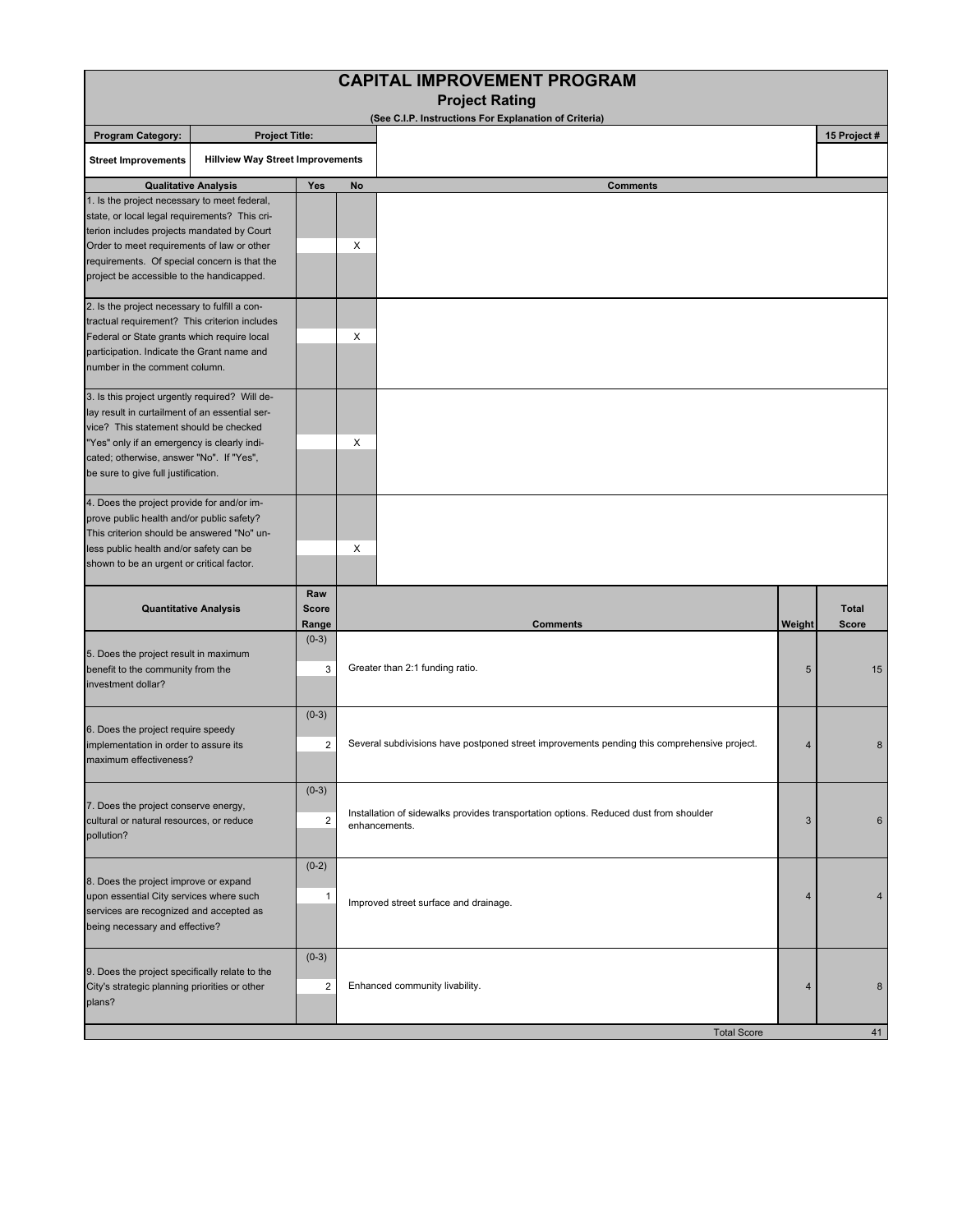| <b>CAPITAL IMPROVEMENT PROGRAM</b>                                                                                                                                                                                                                                                     |                                         |                              |                                                                                                        |        |                       |  |
|----------------------------------------------------------------------------------------------------------------------------------------------------------------------------------------------------------------------------------------------------------------------------------------|-----------------------------------------|------------------------------|--------------------------------------------------------------------------------------------------------|--------|-----------------------|--|
|                                                                                                                                                                                                                                                                                        |                                         |                              | <b>Project Rating</b><br>(See C.I.P. Instructions For Explanation of Criteria)                         |        |                       |  |
| <b>Program Category:</b><br><b>Project Title:</b>                                                                                                                                                                                                                                      |                                         |                              |                                                                                                        |        | 15 Project #          |  |
| <b>Street Improvements</b>                                                                                                                                                                                                                                                             | <b>Hillview Way Street Improvements</b> |                              |                                                                                                        |        |                       |  |
|                                                                                                                                                                                                                                                                                        | <b>Qualitative Analysis</b>             | Yes                          | <b>Comments</b><br>No                                                                                  |        |                       |  |
| 1. Is the project necessary to meet federal,<br>state, or local legal requirements? This cri-<br>terion includes projects mandated by Court<br>Order to meet requirements of law or other<br>requirements. Of special concern is that the<br>project be accessible to the handicapped. |                                         |                              | X                                                                                                      |        |                       |  |
| 2. Is the project necessary to fulfill a con-<br>tractual requirement? This criterion includes<br>Federal or State grants which require local<br>participation. Indicate the Grant name and<br>number in the comment column.                                                           |                                         |                              | X                                                                                                      |        |                       |  |
| 3. Is this project urgently required? Will de-<br>lay result in curtailment of an essential ser-<br>vice? This statement should be checked<br>"Yes" only if an emergency is clearly indi-<br>cated; otherwise, answer "No". If "Yes",<br>be sure to give full justification.           |                                         |                              | Х                                                                                                      |        |                       |  |
| 4. Does the project provide for and/or im-<br>prove public health and/or public safety?<br>This criterion should be answered "No" un-<br>less public health and/or safety can be<br>shown to be an urgent or critical factor.                                                          |                                         |                              | X                                                                                                      |        |                       |  |
|                                                                                                                                                                                                                                                                                        | <b>Quantitative Analysis</b>            | Raw<br><b>Score</b><br>Range | <b>Comments</b>                                                                                        | Weight | <b>Total</b><br>Score |  |
| 5. Does the project result in maximum<br>benefit to the community from the<br>investment dollar?                                                                                                                                                                                       |                                         | $(0-3)$<br>3                 | Greater than 2:1 funding ratio.                                                                        | 5      | 15                    |  |
| 6. Does the project require speedy<br>implementation in order to assure its<br>maximum effectiveness?                                                                                                                                                                                  |                                         | $(0-3)$<br>2                 | Several subdivisions have postponed street improvements pending this comprehensive project.            | 4      | 8                     |  |
| $(0-3)$<br>7. Does the project conserve energy,<br>cultural or natural resources, or reduce<br>$\overline{2}$<br>pollution?                                                                                                                                                            |                                         |                              | Installation of sidewalks provides transportation options. Reduced dust from shoulder<br>enhancements. | 3      | 6                     |  |
| $(0-2)$<br>8. Does the project improve or expand<br>upon essential City services where such<br>-1<br>Improved street surface and drainage.<br>services are recognized and accepted as<br>being necessary and effective?                                                                |                                         | 4                            | 4                                                                                                      |        |                       |  |
| $(0-3)$<br>9. Does the project specifically relate to the<br>City's strategic planning priorities or other<br>$\overline{2}$<br>plans?                                                                                                                                                 |                                         |                              | Enhanced community livability.                                                                         | 4      | 8                     |  |
|                                                                                                                                                                                                                                                                                        |                                         |                              | <b>Total Score</b>                                                                                     |        | 41                    |  |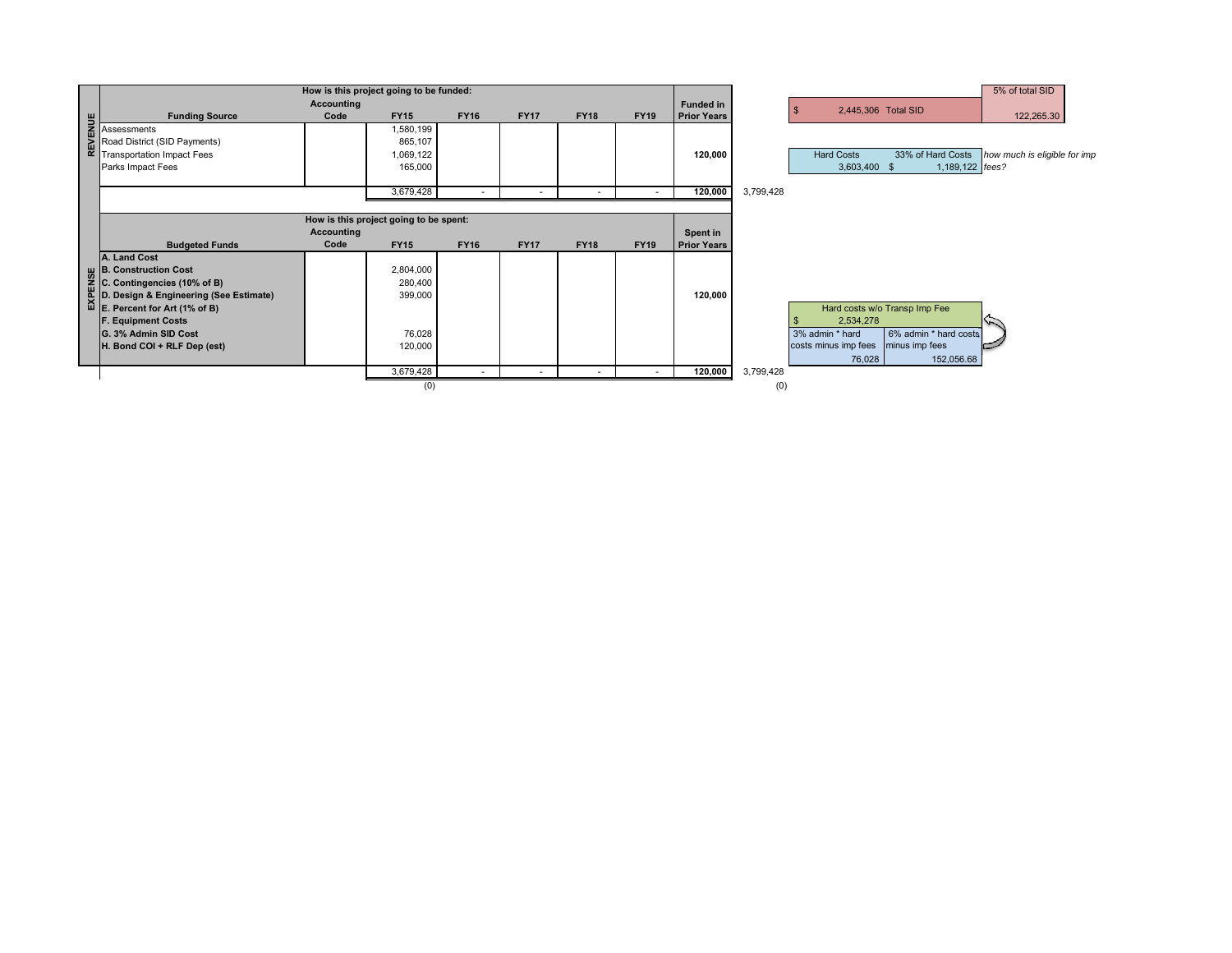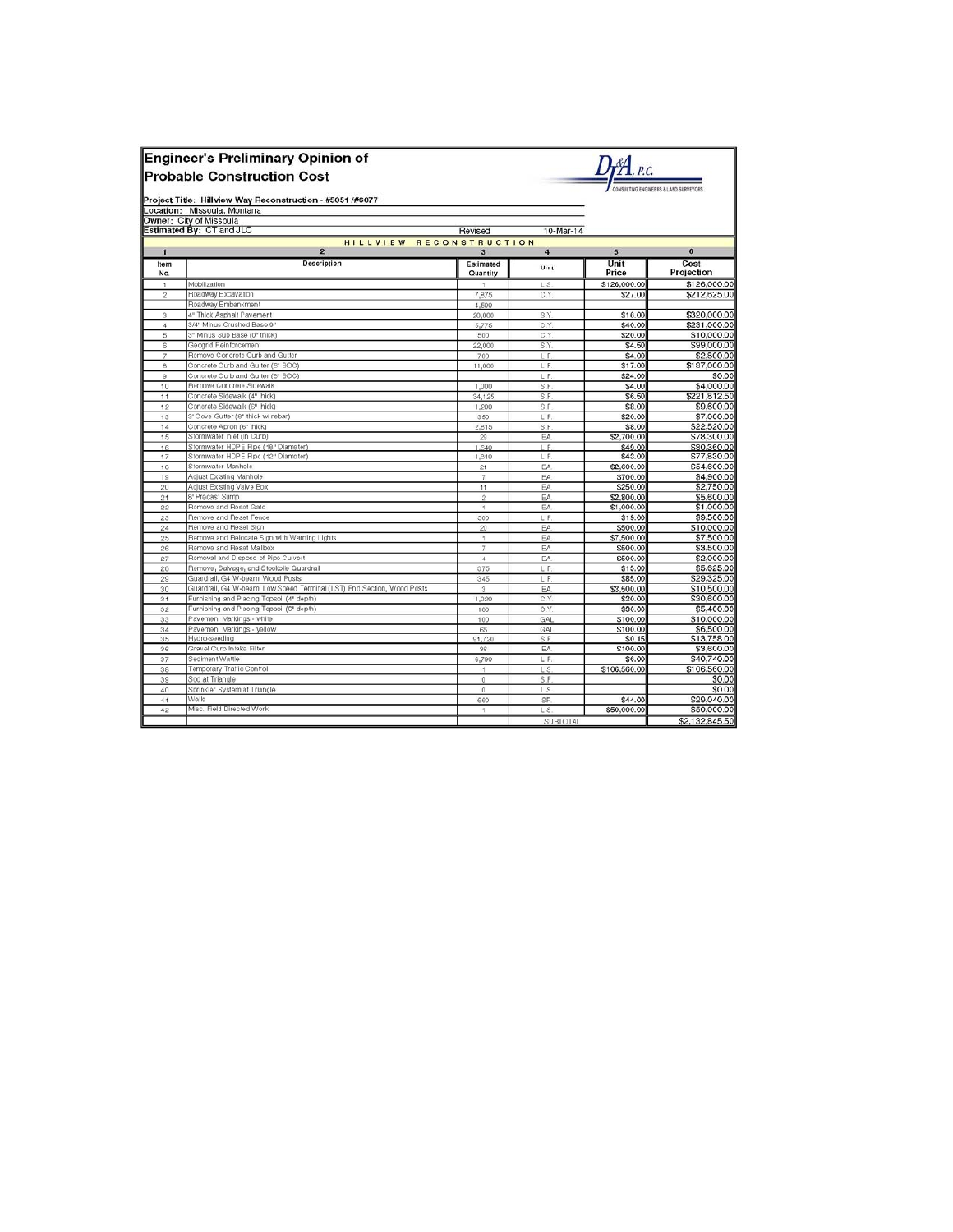|                | <b>Engineer's Preliminary Opinion of</b><br><b>Probable Construction Cost</b><br>Project Title: Hillview Way Reconstruction - #5051 /#6077 |                       |                 |                    | CONSULTING ENGINEERS & LAND SURVEYORS |
|----------------|--------------------------------------------------------------------------------------------------------------------------------------------|-----------------------|-----------------|--------------------|---------------------------------------|
|                | Location: Missoula, Montana                                                                                                                |                       |                 |                    |                                       |
|                | Owner: City of Missoula                                                                                                                    |                       |                 |                    |                                       |
|                | Estimated By: CT and JLC                                                                                                                   | Revised               | 10-Mar-14       |                    |                                       |
| $\mathbf{1}$   | HILLVIEW RECONSTRUCTION<br>$\overline{2}$                                                                                                  | 3                     | $\overline{4}$  | 5                  | 6                                     |
| Item<br>No.    | Description                                                                                                                                | Estimated<br>Quantity | Unit            | Unit<br>Price      | Cost<br>Projection                    |
| 1              | Mobilization                                                                                                                               | 1                     | L.S.            | \$126,000.00       | \$126,000.00                          |
| $\overline{2}$ | Roadway Excavation                                                                                                                         | 7.875                 | C.Y             | \$27.00            | \$212,625.00                          |
|                | Roadway Embankment                                                                                                                         | 4,500                 |                 |                    |                                       |
| з              | 4" Thick Asphalt Pavement                                                                                                                  | 20,000                | S.Y             | \$16.00            | \$320,000.00                          |
| $\overline{4}$ | 3/4" Minus Crushed Base 9"                                                                                                                 | 5,775                 | C.Y             | \$40.00            | \$231,000.00                          |
| 5              | 3" Minus Sub Base (0" thick)                                                                                                               | 500                   | C.Y             | \$20.00            | \$10,000.00                           |
| 6              | Geogrid Reinforcement                                                                                                                      | 22,000                | S.Y             | \$4.50             | \$99,000.00                           |
| $\mathcal{I}$  | Remove Concrete Curb and Gutter                                                                                                            | 700                   | L.F.            | \$4.00             | \$2,800.00                            |
| 8              | Concrete Curb and Gutter (6" BOC)                                                                                                          | 11,000                | L.F.            | \$17.00            | \$187,000.00                          |
| $^{\circ}$     | Concrete Curb and Gutter (8" BOC)                                                                                                          |                       | L.F             | \$24.00            | \$0.00                                |
| 10             | Remove Concrete Sidewalk                                                                                                                   | 1,000                 | S.F.            | \$4.00             | \$4,000.00                            |
| 11             | Concrete Sidewalk (4" thick)                                                                                                               | 34,125                | S.F             | \$6.50             | \$221,812.50                          |
| 12             | Concrete Sidewalk (6" thick)                                                                                                               | 1,200                 | S.F.            | \$8.00             | \$9,600.00                            |
| 13             | 3" Cove Gutter (8" thick w/ rebar)                                                                                                         | 350                   | L.F.            | \$20.00            | \$7,000.00                            |
| 14             | Concrete Apron (6" thick)                                                                                                                  | 2.815                 | S.F.            | \$8.00             | \$22,520.00                           |
| 15             | Stormwater Inlet (In Curb)                                                                                                                 | 29                    | EA              | \$2,700.00         | \$78,300.00                           |
| 16             | Stormwater HDPE Pipe (18" Diameter)                                                                                                        | 1,640                 | LE              | \$49.00            | \$80,360.00                           |
| 17             | Stormwater HDPE Pipe (12" Diameter)                                                                                                        | 1,810                 | L.F.            | \$43.00            | \$77,830.00                           |
| 18             | Stormwater Manhole                                                                                                                         | 21                    | EA              | \$2,600.00         | \$54,600.00                           |
| 19             | Adjust Existing Manhole                                                                                                                    | 7                     | EA              | \$700.00           | \$4,900.00                            |
| 20             | Adjust Existing Valve Box                                                                                                                  | 11                    | EA              | \$250.00           | \$2,750.00                            |
| 21             | 8' Precast Sump                                                                                                                            | $\hat{z}$             | EA              | \$2,800.00         | \$5,600.00                            |
| 22             | Remove and Reset Gate                                                                                                                      | 1                     | EA              | \$1,000.00         | \$1,000.00                            |
| 23             | Remove and Reset Fence                                                                                                                     | 500                   | L.F.            | \$19.00            | \$9,500.00                            |
| 24             | Remove and Reset Sign                                                                                                                      | 20                    | EA.             | \$500.00           | \$10,000.00                           |
| 25             | Remove and Relocate Sign with Warning Lights                                                                                               | 1                     | EA              | \$7,500.00         | \$7,500.00                            |
| 26             | Remove and Reset Mailbox                                                                                                                   | $\overline{7}$        | EA              | \$500.00           | \$3,500.00                            |
| 27             | Removal and Dispose of Pipe Culvert                                                                                                        | $\overline{a}$        | FA              | \$500.00           | \$2,000.00                            |
| 28             | Remove, Salvage, and Stockpile Guardrail                                                                                                   | 375                   | L.F.            | \$15.00            | \$5,625.00                            |
| 29             | Guardrail, G4 W-beam, Wood Posts                                                                                                           | 345                   | L.F.            | \$85.00            | \$29,325.00                           |
| 30             | Guardrail, G4 W-beam, Low Speed Terminal (LST) End Section, Wood Posts                                                                     | 3                     | EA              | \$3,500.00         | \$10,500.00                           |
| 31             | Furnishing and Placing Topsoil (4" depth)                                                                                                  | 1,020                 | C.Y             | \$30.00            | \$30,600.00                           |
| 32             | Furnishing and Placing Topsoil (6" depth)                                                                                                  | 180                   | C.Y             | \$30.00            | \$5,400.00                            |
| 33             | Pavement Markings - white                                                                                                                  | 100                   | GAL             | \$100.00           | \$10,000.00                           |
| 34<br>35       | Pavement Markings - vellow<br>Hydro-seeding                                                                                                | 65<br>91,720          | GAL<br>S.F.     | \$100.00<br>\$0.15 | \$6,500.00<br>\$13,758.00             |
| 36             | Gravel Curb Intake Filter                                                                                                                  | 36                    | EA.             | \$100.00           | \$3,600.00                            |
| 37             | Sediment Wattle                                                                                                                            | 6,790                 | L.F.            | \$6.00             | \$40,740.00                           |
| 38             | Temporary Traffic Control                                                                                                                  | 1                     | LS.             | \$106,560.00       | \$106,560.00                          |
| 39             | Sod at Triangle                                                                                                                            | 0                     | S.F             |                    | \$0.00                                |
| 40             | Sprinkler System at Triangle                                                                                                               | $\alpha$              | LS.             |                    | \$0.00                                |
| 41             | Walls                                                                                                                                      | 660                   | SF.             | \$44.00            | \$29,040.00                           |
| 42             | Misc. Field Directed Work                                                                                                                  | $\rightarrow$         | LS.             | \$50,000.00        | \$50,000.00                           |
|                |                                                                                                                                            |                       | <b>SUBTOTAL</b> |                    | \$2.132.845.50                        |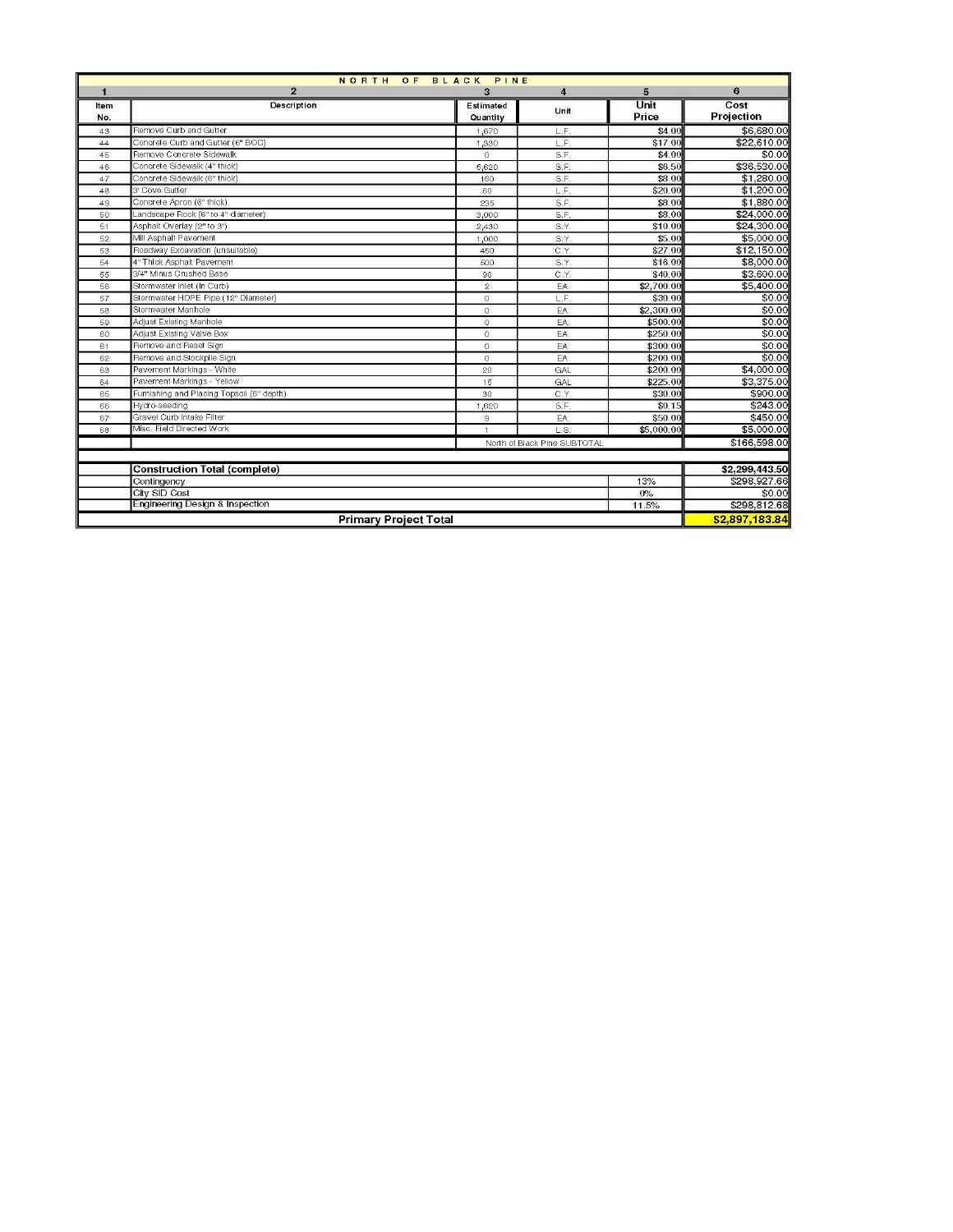| NORTH OF BLACK PINE |                                            |                |                              |            |                |  |
|---------------------|--------------------------------------------|----------------|------------------------------|------------|----------------|--|
| $\blacksquare$      | $\overline{2}$                             | $\overline{a}$ | $\overline{4}$               | 5          | 6              |  |
| Item                | Description                                | Estimated      | Unit                         | Unit       | Cost           |  |
| No.                 |                                            | Quantity       |                              | Price      | Projection     |  |
| 43                  | Remove Curb and Gutter                     | 1,670          | L.F                          | \$4.00     | \$6,680.00     |  |
| 44                  | Concrete Curb and Gutter (6" BOC)          | 1,330          | LF                           | \$17.00    | \$22,610.00    |  |
| 45                  | Remove Concrete Sidewalk                   | $\Omega$       | S.F.                         | \$4.00     | \$0.00         |  |
| 46                  | Concrete Sidewalk (4" thick)               | 5,620          | S.F.                         | \$6.50     | \$36,530.00    |  |
| 47                  | Concrete Sidewalk (6" thick)               | 160            | S.F.                         | \$8.00     | \$1,280.00     |  |
| 48                  | 3' Cove Gutter                             | 60             | L.F                          | \$20.00    | \$1,200.00     |  |
| 49                  | Concrete Apron (6" thick)                  | 235            | S.F.                         | \$8.00     | \$1,880.00     |  |
| 50                  | Landscape Rock (8" to 4" diameter)         | 3,000          | S.F.                         | \$8.00     | \$24,000.00    |  |
| 51                  | Asphalt Overlay (2" to 3")                 | 2,430          | S.Y.                         | \$10.00    | \$24,300.00    |  |
| 52                  | Mill Asphalt Pavement                      | 1,000          | S.Y.                         | \$5.00     | \$5,000.00     |  |
| 53                  | Roadway Excavation (unsuitable)            | 450            | C.Y.                         | \$27.00    | \$12,150.00    |  |
| 54                  | 4" Thick Asphalt Pavement                  | 500            | S.Y.                         | \$16.00    | \$8,000.00     |  |
| 55                  | 3/4" Minus Crushed Base                    | 90             | C.Y.                         | \$40.00    | \$3,600.00     |  |
| 56                  | Stormwater Inlet (In Curb)                 | $\overline{2}$ | EA                           | \$2,700.00 | \$5,400.00     |  |
| 57                  | Stormwater HDPE Pipe (12" Diameter)        | $\overline{0}$ | LF                           | \$30.00    | \$0.00         |  |
| 58                  | Stormwater Manhole                         | $\overline{0}$ | EA                           | \$2,300.00 | \$0.00         |  |
| 59                  | Adjust Existing Manhole                    | $\circ$        | EA                           | \$500.00   | \$0.00         |  |
| 60                  | Adjust Existing Valve Box                  | $\circ$        | EA                           | \$250.00   | \$0.00         |  |
| 61                  | Remove and Reset Sign                      | $\mathbb O$    | EA                           | \$300.00   | \$0.00         |  |
| 62                  | Remove and Stockpile Sign                  | $\Omega$       | EA                           | \$200.00   | \$0.00         |  |
| 63                  | Pavement Markings - White                  | 20             | GAL                          | \$200.00   | \$4,000.00     |  |
| 64                  | Pavement Markings - Yellow                 | 15             | GAL                          | \$225.00   | \$3,375.00     |  |
| 65                  | Furnishing and Placing Topsoil (6" depth)  | 30             | C.Y.                         | \$30.00    | \$900.00       |  |
| 66                  | Hydro-seeding                              | 1,620          | S.F.                         | \$0.15     | \$243.00       |  |
| 67                  | Gravel Curb Intake Filter                  | $\mathbf{S}$   | EA                           | \$50.00    | \$450.00       |  |
| 68                  | Misc. Field Directed Work                  | $\overline{1}$ | L.S.                         | \$5,000.00 | \$5,000.00     |  |
|                     |                                            |                | North of Black Pine SUBTOTAL |            | \$166,598.00   |  |
|                     |                                            |                |                              |            |                |  |
|                     | <b>Construction Total (complete)</b>       |                |                              |            | \$2,299,443.50 |  |
|                     | Contingency                                |                |                              | 13%        | \$298.927.66   |  |
|                     | City SID Cost                              |                |                              | $0\%$      | \$0.00         |  |
|                     | <b>Engineering Design &amp; Inspection</b> |                |                              | 11.5%      | \$298,812.68   |  |
|                     | <b>Primary Project Total</b>               |                |                              |            | \$2,897,183.84 |  |